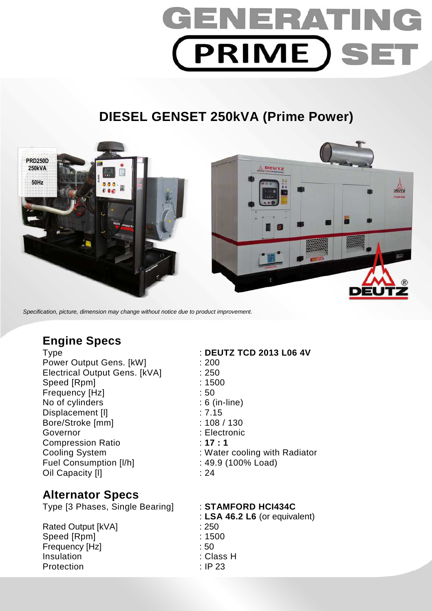# GENERAT **PRIME SET**

# **DIESEL GENSET 250kVA (Prime Power)**



Specification, picture, dimension may change without notice due to product improvement.

## **Engine Specs**

Power Output Gens. [kW] : 200 Electrical Output Gens. [kVA] : 250 Speed [Rpm] : 1500 Frequency [Hz]  $\qquad \qquad$  : 50 No of cylinders : 6 (in-line) Displacement [I] 27.15 Bore/Stroke [mm] : 108 / 130 Governor : Electronic Compression Ratio : **17 : 1**  Fuel Consumption [I/h] : 49.9 (100% Load) Oil Capacity [I] 24

### **Alternator Specs**

Type [3 Phases, Single Bearing] : **STAMFORD HCI434C** 

Rated Output [kVA] : 250 Speed [Rpm] : 1500 Frequency [Hz] : 50 Insulation : Class H Protection : IP 23

Type : **DEUTZ TCD 2013 L06 4V**  Cooling System : Water cooling with Radiator

: **LSA 46.2 L6** (or equivalent)